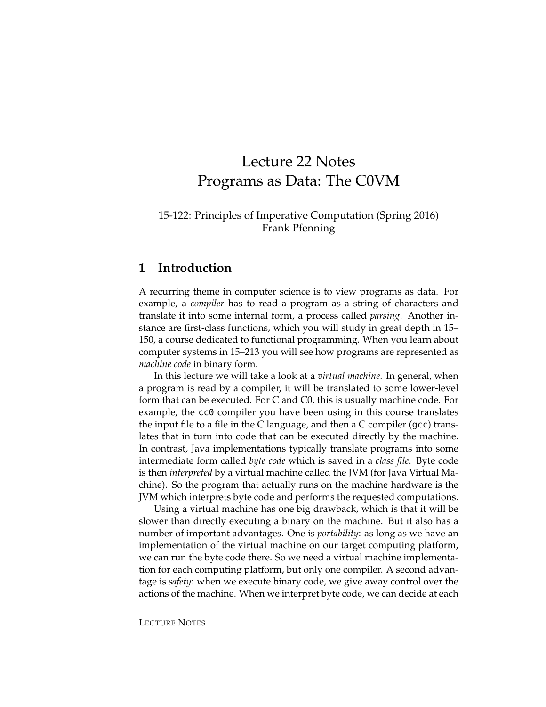# Lecture 22 Notes Programs as Data: The C0VM

### 15-122: Principles of Imperative Computation (Spring 2016) Frank Pfenning

### **1 Introduction**

A recurring theme in computer science is to view programs as data. For example, a *compiler* has to read a program as a string of characters and translate it into some internal form, a process called *parsing*. Another instance are first-class functions, which you will study in great depth in 15– 150, a course dedicated to functional programming. When you learn about computer systems in 15–213 you will see how programs are represented as *machine code* in binary form.

In this lecture we will take a look at a *virtual machine*. In general, when a program is read by a compiler, it will be translated to some lower-level form that can be executed. For C and C0, this is usually machine code. For example, the cc0 compiler you have been using in this course translates the input file to a file in the C language, and then a C compiler (gcc) translates that in turn into code that can be executed directly by the machine. In contrast, Java implementations typically translate programs into some intermediate form called *byte code* which is saved in a *class file*. Byte code is then *interpreted* by a virtual machine called the JVM (for Java Virtual Machine). So the program that actually runs on the machine hardware is the JVM which interprets byte code and performs the requested computations.

Using a virtual machine has one big drawback, which is that it will be slower than directly executing a binary on the machine. But it also has a number of important advantages. One is *portability*: as long as we have an implementation of the virtual machine on our target computing platform, we can run the byte code there. So we need a virtual machine implementation for each computing platform, but only one compiler. A second advantage is *safety*: when we execute binary code, we give away control over the actions of the machine. When we interpret byte code, we can decide at each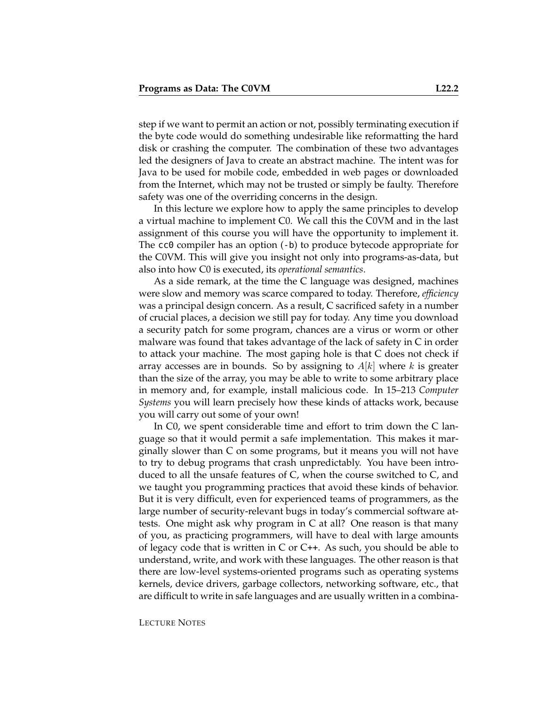step if we want to permit an action or not, possibly terminating execution if the byte code would do something undesirable like reformatting the hard disk or crashing the computer. The combination of these two advantages led the designers of Java to create an abstract machine. The intent was for Java to be used for mobile code, embedded in web pages or downloaded from the Internet, which may not be trusted or simply be faulty. Therefore safety was one of the overriding concerns in the design.

In this lecture we explore how to apply the same principles to develop a virtual machine to implement C0. We call this the C0VM and in the last assignment of this course you will have the opportunity to implement it. The cc0 compiler has an option (-b) to produce bytecode appropriate for the C0VM. This will give you insight not only into programs-as-data, but also into how C0 is executed, its *operational semantics*.

As a side remark, at the time the C language was designed, machines were slow and memory was scarce compared to today. Therefore, *efficiency* was a principal design concern. As a result, C sacrificed safety in a number of crucial places, a decision we still pay for today. Any time you download a security patch for some program, chances are a virus or worm or other malware was found that takes advantage of the lack of safety in C in order to attack your machine. The most gaping hole is that C does not check if array accesses are in bounds. So by assigning to  $A[k]$  where k is greater than the size of the array, you may be able to write to some arbitrary place in memory and, for example, install malicious code. In 15–213 *Computer Systems* you will learn precisely how these kinds of attacks work, because you will carry out some of your own!

In C0, we spent considerable time and effort to trim down the C language so that it would permit a safe implementation. This makes it marginally slower than C on some programs, but it means you will not have to try to debug programs that crash unpredictably. You have been introduced to all the unsafe features of C, when the course switched to C, and we taught you programming practices that avoid these kinds of behavior. But it is very difficult, even for experienced teams of programmers, as the large number of security-relevant bugs in today's commercial software attests. One might ask why program in C at all? One reason is that many of you, as practicing programmers, will have to deal with large amounts of legacy code that is written in C or  $C_{++}$ . As such, you should be able to understand, write, and work with these languages. The other reason is that there are low-level systems-oriented programs such as operating systems kernels, device drivers, garbage collectors, networking software, etc., that are difficult to write in safe languages and are usually written in a combina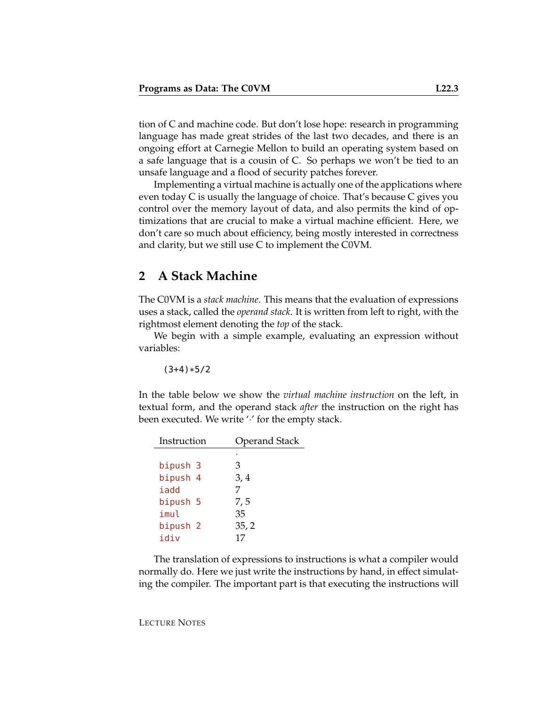tion of C and machine code. But don't lose hope: research in programming language has made great strides of the last two decades, and there is an ongoing effort at Carnegie Mellon to build an operating system based on a safe language that is a cousin of C. So perhaps we won't be tied to an unsafe language and a flood of security patches forever.

Implementing a virtual machine is actually one of the applications where even today C is usually the language of choice. That's because C gives you control over the memory layout of data, and also permits the kind of optimizations that are crucial to make a virtual machine efficient. Here, we don't care so much about efficiency, being mostly interested in correctness and clarity, but we still use C to implement the C0VM.

# **2 A Stack Machine**

The C0VM is a *stack machine*. This means that the evaluation of expressions uses a stack, called the *operand stack*. It is written from left to right, with the rightmost element denoting the *top* of the stack.

We begin with a simple example, evaluating an expression without variables:

 $(3+4)*5/2$ 

In the table below we show the *virtual machine instruction* on the left, in textual form, and the operand stack *after* the instruction on the right has been executed. We write  $\cdot$  for the empty stack.

| Instruction         | <b>Operand Stack</b> |  |  |
|---------------------|----------------------|--|--|
|                     |                      |  |  |
| bipush 3            | З                    |  |  |
| bipush 4            | 3,4                  |  |  |
| iadd                | 7                    |  |  |
| bipush 5            | 7,5                  |  |  |
| imul                | 35                   |  |  |
| bipush <sub>2</sub> | 35, 2                |  |  |
| idiv                | 17                   |  |  |
|                     |                      |  |  |

The translation of expressions to instructions is what a compiler would normally do. Here we just write the instructions by hand, in effect simulating the compiler. The important part is that executing the instructions will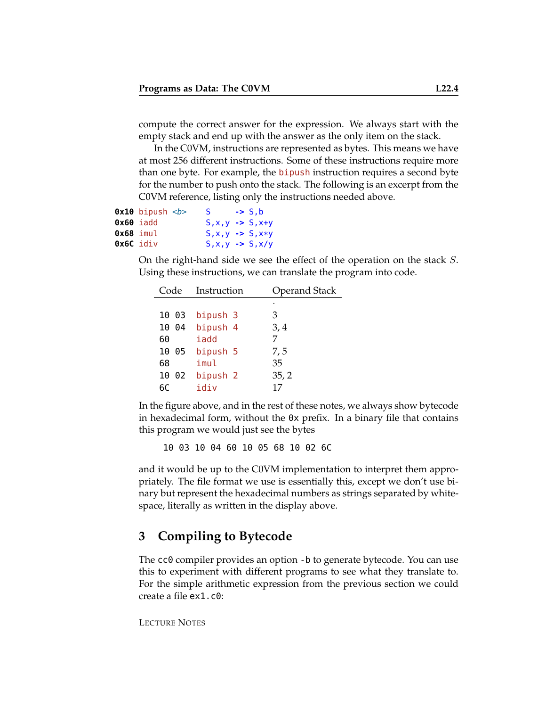compute the correct answer for the expression. We always start with the empty stack and end up with the answer as the only item on the stack.

In the C0VM, instructions are represented as bytes. This means we have at most 256 different instructions. Some of these instructions require more than one byte. For example, the bipush instruction requires a second byte for the number to push onto the stack. The following is an excerpt from the C0VM reference, listing only the instructions needed above.

|                  | $0x10$ bipush $5$ | S.                             | $\rightarrow$ S.b |
|------------------|-------------------|--------------------------------|-------------------|
|                  | <b>Ox60</b> iadd  | $S, x, y \rightarrow S, x+y$   |                   |
| 0x68 imul        |                   | $S, x, y \rightarrow S, x * y$ |                   |
| <b>Ox6C</b> idiv |                   | $S, x, y \rightarrow S, x/y$   |                   |

On the right-hand side we see the effect of the operation on the stack S. Using these instructions, we can translate the program into code.

| Code       | Instruction         | <b>Operand Stack</b> |
|------------|---------------------|----------------------|
|            |                     | ٠                    |
| 10 03      | bipush 3            | 3                    |
| - 04<br>10 | bipush 4            | 3,4                  |
| 60         | iadd                | 7                    |
| 10<br>05   | bipush 5            | 7,5                  |
| 68         | imul                | 35                   |
| 10<br>02   | bipush <sub>2</sub> | 35, 2                |
| 6Ր         | idiv                | 17                   |

In the figure above, and in the rest of these notes, we always show bytecode in hexadecimal form, without the 0x prefix. In a binary file that contains this program we would just see the bytes

10 03 10 04 60 10 05 68 10 02 6C

and it would be up to the C0VM implementation to interpret them appropriately. The file format we use is essentially this, except we don't use binary but represent the hexadecimal numbers as strings separated by whitespace, literally as written in the display above.

# **3 Compiling to Bytecode**

The cc0 compiler provides an option -b to generate bytecode. You can use this to experiment with different programs to see what they translate to. For the simple arithmetic expression from the previous section we could create a file ex1.c0:

```
LECTURE NOTES
```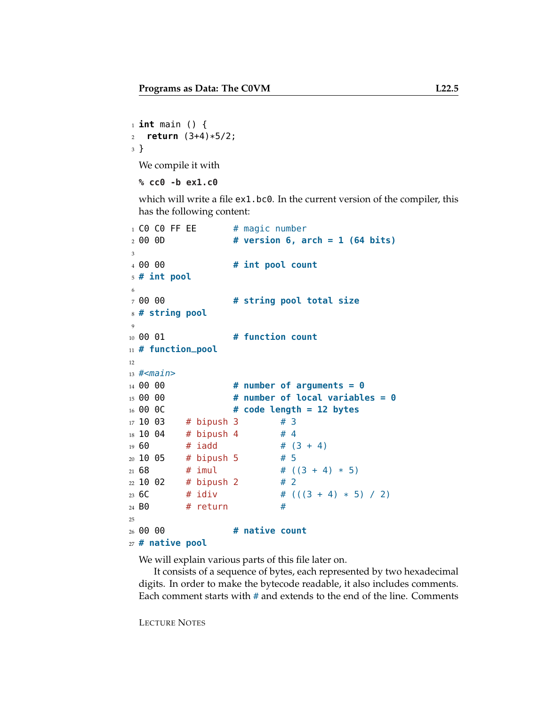```
1 int main () {
2 return (3+4)*5/2;
3 }
```
We compile it with

```
% cc0 -b ex1.c0
```
which will write a file ex1.bc0. In the current version of the compiler, this has the following content:

```
_1 CO CO FF EE \quad # magic number
2 00 0D # version 6, arch = 1 (64 bits)
3
4 00 00 # int pool count
5 # int pool
6
7 00 00 # string pool total size
8 # string pool
9
10 00 01 # function count
11 # function_pool
12
13 # -main14 00 00 # number of arguments = 0
15 00 00 # number of local variables = 0
16 00 0C # code length = 12 bytes
17 \t10 \t03 # bipush 3 # 3
18 \t10 \t04 # bipush 4 # 4
19\ 60 # iadd # (3 + 4)20 10 05 # bipush 5 # 5
21\,68 # imul # ((3 + 4) * 5)22 \t10 \t02 # bipush 2 # 2
23 6C # idiv # (((3 + 4) * 5) / 2)24 B0 # return #
25
26 00 00 # native count
```
<sup>27</sup> **# native pool**

We will explain various parts of this file later on.

It consists of a sequence of bytes, each represented by two hexadecimal digits. In order to make the bytecode readable, it also includes comments. Each comment starts with  $\#$  and extends to the end of the line. Comments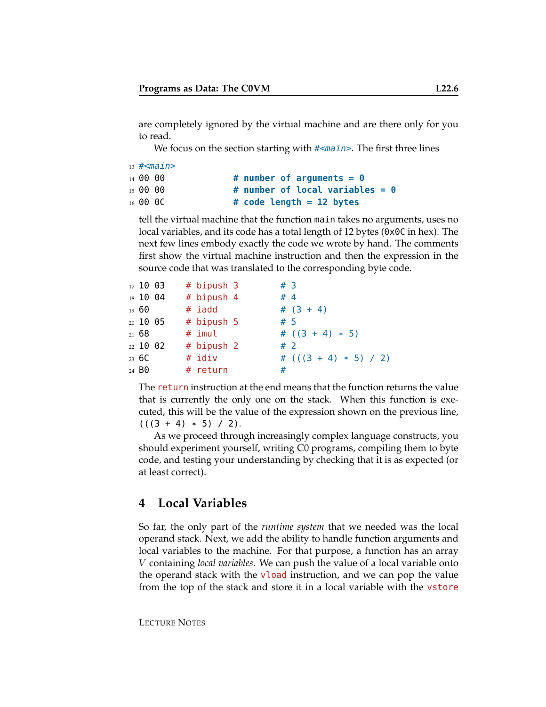are completely ignored by the virtual machine and are there only for you to read.

We focus on the section starting with #<main>. The first three lines

```
13 #\leqmain>14 00 00 # number of arguments = 0
15 00 00 # number of local variables = 0
16 00 0C # code length = 12 bytes
```
tell the virtual machine that the function main takes no arguments, uses no local variables, and its code has a total length of 12 bytes (0x0C in hex). The next few lines embody exactly the code we wrote by hand. The comments first show the virtual machine instruction and then the expression in the source code that was translated to the corresponding byte code.

| $17\,10\,03$                 |  | # bipush 3 | $#$ 3                   |  |
|------------------------------|--|------------|-------------------------|--|
| 18 10 04                     |  | # bipush 4 | #4                      |  |
| 19 60                        |  | # iadd     | # $(3 + 4)$             |  |
| 20 10 05                     |  | # bipush 5 | #5                      |  |
| 21 68                        |  | # imul     | # $((3 + 4) * 5)$       |  |
| 22 10 02                     |  | # bipush 2 | #2                      |  |
| $23\,6C$                     |  | # idiv     | # $(((3 + 4) * 5) / 2)$ |  |
| <sub>24</sub> B <sub>0</sub> |  | # return   | #                       |  |

The return instruction at the end means that the function returns the value that is currently the only one on the stack. When this function is executed, this will be the value of the expression shown on the previous line,  $(((3 + 4) * 5) / 2).$ 

As we proceed through increasingly complex language constructs, you should experiment yourself, writing C0 programs, compiling them to byte code, and testing your understanding by checking that it is as expected (or at least correct).

# **4 Local Variables**

So far, the only part of the *runtime system* that we needed was the local operand stack. Next, we add the ability to handle function arguments and local variables to the machine. For that purpose, a function has an array V containing *local variables*. We can push the value of a local variable onto the operand stack with the vload instruction, and we can pop the value from the top of the stack and store it in a local variable with the vstore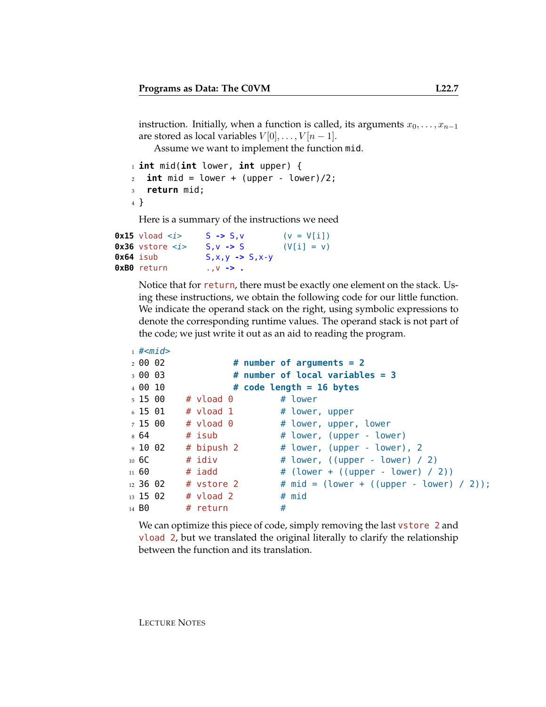instruction. Initially, when a function is called, its arguments  $x_0, \ldots, x_{n-1}$ are stored as local variables  $V[0], \ldots, V[n-1].$ 

Assume we want to implement the function mid.

```
1 int mid(int lower, int upper) {
2 int mid = lower + (upper - lower)/2;
3 return mid;
4 }
```
Here is a summary of the instructions we need

```
0x15 vload \langle i \rangle S -> S, v (v = V[i])
0x36 vstore \langle i \rangle S, v -> S (V[i] = v)
0x64 isub S,x,y -> S,x-y
0xB0 return .,v -> .
```
Notice that for return, there must be exactly one element on the stack. Using these instructions, we obtain the following code for our little function. We indicate the operand stack on the right, using symbolic expressions to denote the corresponding runtime values. The operand stack is not part of the code; we just write it out as an aid to reading the program.

```
_1 #<mid>2 00 02 # number of arguments = 2
3 00 03 # number of local variables = 3
4 00 10 # code length = 16 bytes
5 \t15 \t00 \t# vload 0 \t\# lower
6 15 01 \# vload 1 \# lower, upper
7 15 00 # vload 0 \qquad # lower, upper, lower
8 64 # isub # lower, (upper - lower)
9 10 02 # bipush 2 \# lower, (upper - lower), 2
10 6C # idiv # lower, ((upper - lower) / 2)
_{11} 60 \# iadd \# (lower + ((upper - lower) / 2))
12\ 36\ 02 # vstore 2 # mid = (lower + ((upper - lower) / 2));
13 \t15 \t02 \t# vload 2 \t# mid
14 B0 # return #
```
We can optimize this piece of code, simply removing the last vstore 2 and vload 2, but we translated the original literally to clarify the relationship between the function and its translation.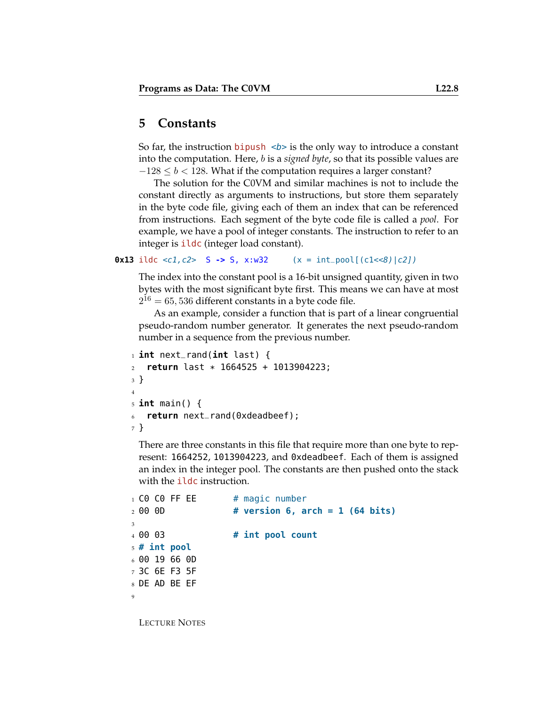# **5 Constants**

So far, the instruction **bipush**  $\langle b \rangle$  is the only way to introduce a constant into the computation. Here, b is a *signed byte*, so that its possible values are  $-128 \le b < 128$ . What if the computation requires a larger constant?

The solution for the C0VM and similar machines is not to include the constant directly as arguments to instructions, but store them separately in the byte code file, giving each of them an index that can be referenced from instructions. Each segment of the byte code file is called a *pool*. For example, we have a pool of integer constants. The instruction to refer to an integer is **ildc** (integer load constant).

**0x13** ildc <c1, c2> S -> S, x:w32  $(x = int\_pool[(c1 < 8) | c2])$ 

The index into the constant pool is a 16-bit unsigned quantity, given in two bytes with the most significant byte first. This means we can have at most  $2^{16} = 65,536$  different constants in a byte code file.

As an example, consider a function that is part of a linear congruential pseudo-random number generator. It generates the next pseudo-random number in a sequence from the previous number.

```
1 int next_rand(int last) {
2 return last * 1664525 + 1013904223;
3 }
4
5 int main() {
6 return next_rand(0xdeadbeef);
7 }
```
There are three constants in this file that require more than one byte to represent: 1664252, 1013904223, and 0xdeadbeef. Each of them is assigned an index in the integer pool. The constants are then pushed onto the stack with the ildc instruction.

```
1 CO CO FF EE # magic number
2 00 0D # version 6, arch = 1 (64 bits)
3
4 00 03 # int pool count
5 # int pool
6 00 19 66 0D
7 3C 6E F3 5F
8 DE AD BE EF
9
```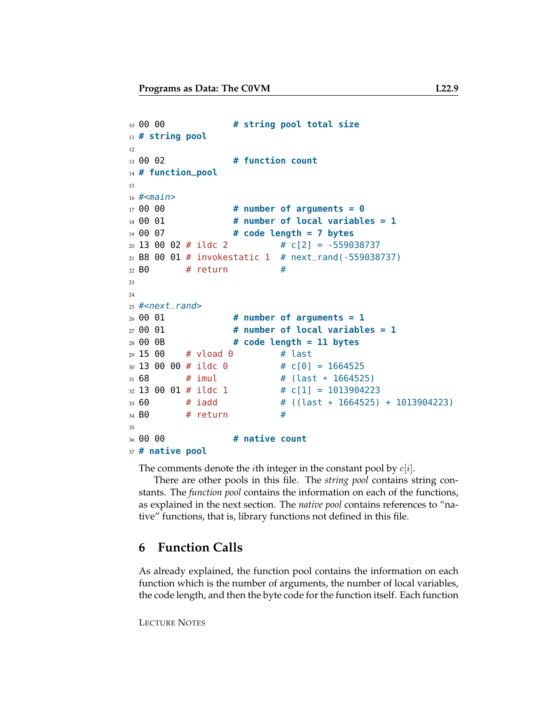```
10 00 00 # string pool total size
11 # string pool
12
13 00 02 # function count
14 # function_pool
15
16 #<main>
17 00 00 # number of arguments = 0
18 00 01 # number of local variables = 1
19 00 07 # code length = 7 bytes
20 \t13 \t00 \t02 \t\# \text{ildc} \t2 \t\# \tC[2] = -55903873721 B8 00 01 # invokestatic 1 # next_rand(-559038737)
22 B0 \# return \#23
24
25 #<next_rand>
26 00 01 # number of arguments = 1
27 00 01 # number of local variables = 1
28 00 0B # code length = 11 bytes
29 15 00 # vload 0 # last
30 \t13 \t00 \t00 \t\# \text{ildc} \t0 \# \t0[0] = 1664525_{31} 68 # imul \# (last * 1664525)
32 \ 13 \ 00 \ 01 \ # \text{ ildc} 1 \qquad \qquad # \ c[1] = 101390422333 60 # iadd # ((last * 1664525) + 1013904223)
34 BO \# return \#35
36 00 00 # native count
```
**# native pool**

The comments denote the *i*th integer in the constant pool by  $c[i]$ .

There are other pools in this file. The *string pool* contains string constants. The *function pool* contains the information on each of the functions, as explained in the next section. The *native pool* contains references to "native" functions, that is, library functions not defined in this file.

# **6 Function Calls**

As already explained, the function pool contains the information on each function which is the number of arguments, the number of local variables, the code length, and then the byte code for the function itself. Each function

```
LECTURE NOTES
```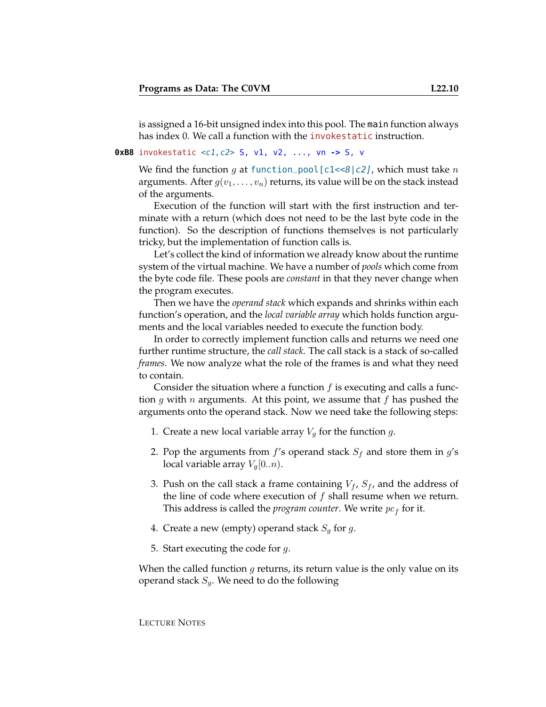is assigned a 16-bit unsigned index into this pool. The main function always has index 0. We call a function with the *invokestatic* instruction.

#### **0xB8** invokestatic <c1,c2> S, v1, v2, ..., vn **->** S, v

We find the function g at function\_pool[c1<<8|c2], which must take n arguments. After  $g(v_1, \ldots, v_n)$  returns, its value will be on the stack instead of the arguments.

Execution of the function will start with the first instruction and terminate with a return (which does not need to be the last byte code in the function). So the description of functions themselves is not particularly tricky, but the implementation of function calls is.

Let's collect the kind of information we already know about the runtime system of the virtual machine. We have a number of *pools* which come from the byte code file. These pools are *constant* in that they never change when the program executes.

Then we have the *operand stack* which expands and shrinks within each function's operation, and the *local variable array* which holds function arguments and the local variables needed to execute the function body.

In order to correctly implement function calls and returns we need one further runtime structure, the *call stack*. The call stack is a stack of so-called *frames*. We now analyze what the role of the frames is and what they need to contain.

Consider the situation where a function  $f$  is executing and calls a function g with n arguments. At this point, we assume that f has pushed the arguments onto the operand stack. Now we need take the following steps:

- 1. Create a new local variable array  $V_q$  for the function  $g$ .
- 2. Pop the arguments from  $f$ 's operand stack  $S_f$  and store them in  $g$ 's local variable array  $V_q[0..n)$ .
- 3. Push on the call stack a frame containing  $V_f$ ,  $S_f$ , and the address of the line of code where execution of  $f$  shall resume when we return. This address is called the *program counter*. We write  $pc<sub>f</sub>$  for it.
- 4. Create a new (empty) operand stack  $S_q$  for g.
- 5. Start executing the code for  $q$ .

When the called function  $g$  returns, its return value is the only value on its operand stack  $S_q$ . We need to do the following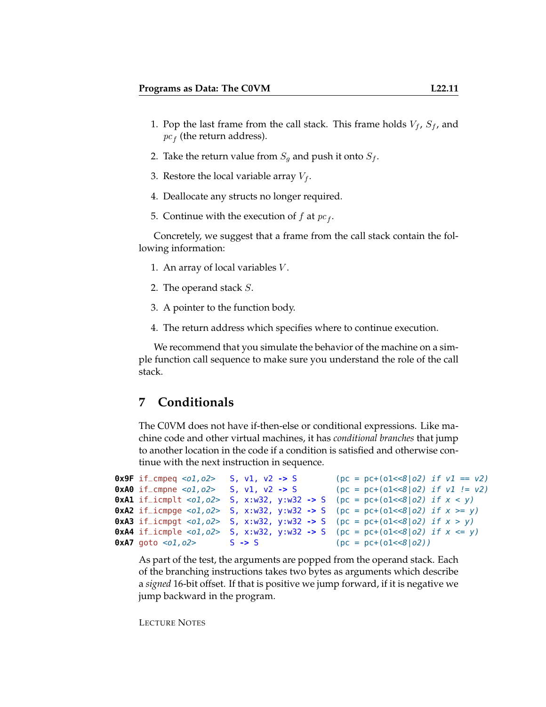- 1. Pop the last frame from the call stack. This frame holds  $V_f$ ,  $S_f$ , and  $pc<sub>f</sub>$  (the return address).
- 2. Take the return value from  $S_g$  and push it onto  $S_f$ .
- 3. Restore the local variable array  $V_f$ .
- 4. Deallocate any structs no longer required.
- 5. Continue with the execution of  $f$  at  $pc_f$ .

Concretely, we suggest that a frame from the call stack contain the following information:

- 1. An array of local variables V .
- 2. The operand stack S.
- 3. A pointer to the function body.
- 4. The return address which specifies where to continue execution.

We recommend that you simulate the behavior of the machine on a simple function call sequence to make sure you understand the role of the call stack.

# **7 Conditionals**

The C0VM does not have if-then-else or conditional expressions. Like machine code and other virtual machines, it has *conditional branches* that jump to another location in the code if a condition is satisfied and otherwise continue with the next instruction in sequence.

```
0x9F if_cmpeq <o1, o2> S, v1, v2 -> S (pc = pc+(o1<<8|o2) if v1 == v2)
0xA0 if_cmpne <o1, o2> S, v1, v2 -> S (pc = pc+(o1<<8|o2) if v1 != v2)
0xA1 if_icmplt <o1,o2> S, x:w32, y:w32 -> S (pc = pc+(o1<<8|o2) if x < y)
0xA2 if_icmpge <o1,o2> S, x:w32, y:w32 -> S (pc = pc+(o1<<8|o2) if x \ge y)
0xA3 if_icmpgt <o1,o2> S, x:w32, y:w32 -> S (pc = pc+(o1<<8|o2) if x > y)
0xA4 if icmple <o1, o2> S, x:w32, y:w32 -> S (pc = pc+(o1<<8|o2) if x \le y)
0xA7 goto <0.02> S -> S (pc = pc+(0.1<8|0.2))
```
As part of the test, the arguments are popped from the operand stack. Each of the branching instructions takes two bytes as arguments which describe a *signed* 16-bit offset. If that is positive we jump forward, if it is negative we jump backward in the program.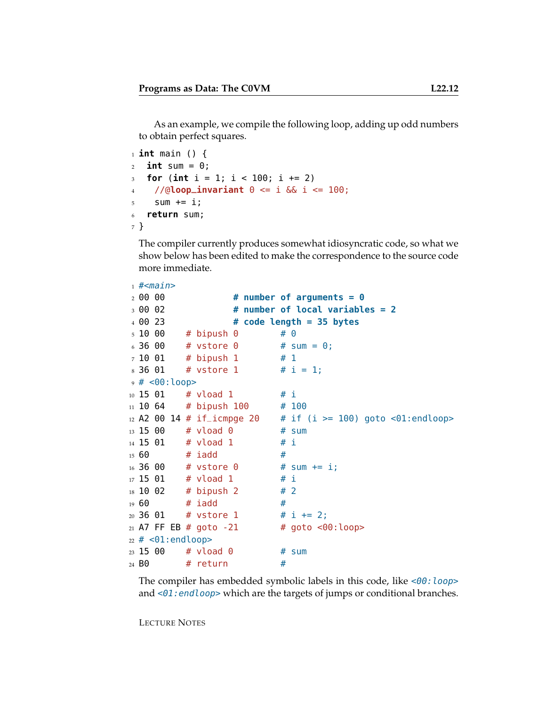As an example, we compile the following loop, adding up odd numbers to obtain perfect squares.

```
1 int main () {
2 int sum = 0;
3 for (int i = 1; i < 100; i += 2)
4 //@loop_invariant 0 <= i && i <= 100;
5 Sum += i;
6 return sum;
7 }
```
The compiler currently produces somewhat idiosyncratic code, so what we show below has been edited to make the correspondence to the source code more immediate.

```
_1 #<main>2 00 00 # number of arguments = 0
3 00 02 # number of local variables = 2
4 00 23 # code length = 35 bytes
5 \t10 \t00 \t# binush 0 \t# 06 36 00 # vstore 0 # sum = 0;
7 10 01 # bipush 1 # 1
8, 36, 01 # vstore 1 # i = 1:
9 # <00:loop>
10 15 01 # vload 1 # i
11 10 64 # bipush 100 # 100
12 A2 00 14 # if_icmpge 20 \# if (i >= 100) goto <01:endloop>
13 15 00 # vload 0 # sum
14 15 01 # vload 1 # i
15\,60 # iadd \, #
16 36 00 # vstore 0 # sum += i;
17 \t15 \t01 # vload 1 # i
18 \t10 \t02 # bipush 2 # 2
19\,60 # iadd \, #
20\ 36\ 01 # vstore 1 # i += 2;
_{21} A7 FF EB # goto -21 # goto <00: loop>
22 \neq <01: endloop>
23 15 00 # vload 0 # sum
24 B0 # return #
```
The compiler has embedded symbolic labels in this code, like  $<00$ : loop> and  $\leq 01$ : endloop> which are the targets of jumps or conditional branches.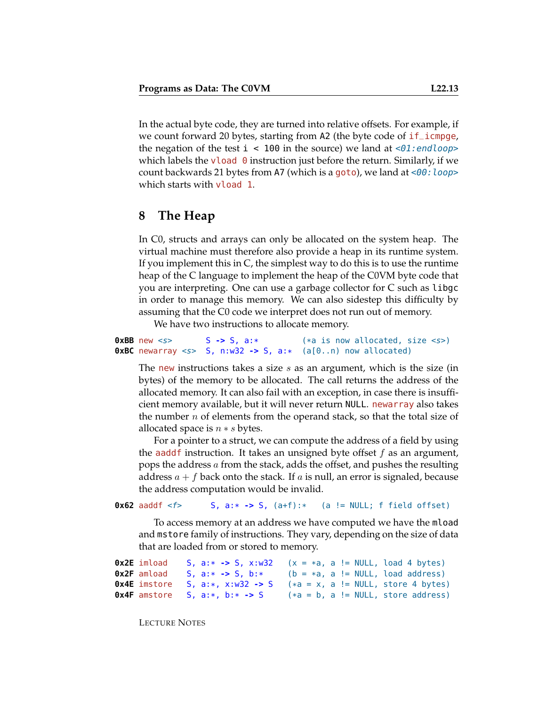In the actual byte code, they are turned into relative offsets. For example, if we count forward 20 bytes, starting from A2 (the byte code of if\_icmpge, the negation of the test  $i < 100$  in the source) we land at  $\langle 01 \rangle$ : endloop which labels the vload  $\theta$  instruction just before the return. Similarly, if we count backwards 21 bytes from A7 (which is a goto), we land at  $\leq 00$ : loop> which starts with vload 1.

# **8 The Heap**

In C0, structs and arrays can only be allocated on the system heap. The virtual machine must therefore also provide a heap in its runtime system. If you implement this in C, the simplest way to do this is to use the runtime heap of the C language to implement the heap of the C0VM byte code that you are interpreting. One can use a garbage collector for C such as libgc in order to manage this memory. We can also sidestep this difficulty by assuming that the C0 code we interpret does not run out of memory.

We have two instructions to allocate memory.

```
0xBB new <s> S -> S, a:* (*a is now allocated, size <s>)
0xBC newarray <s> S, n:w32 -> S, a:* (a[0..n) now allocated)
```
The new instructions takes a size  $s$  as an argument, which is the size (in bytes) of the memory to be allocated. The call returns the address of the allocated memory. It can also fail with an exception, in case there is insufficient memory available, but it will never return NULL. newarray also takes the number  $n$  of elements from the operand stack, so that the total size of allocated space is  $n * s$  bytes.

For a pointer to a struct, we can compute the address of a field by using the aadd f instruction. It takes an unsigned byte offset  $f$  as an argument, pops the address a from the stack, adds the offset, and pushes the resulting address  $a + f$  back onto the stack. If a is null, an error is signaled, because the address computation would be invalid.

**0x62** aaddf <f> S, a:\* **->** S, (a+f):\* (a != NULL; f field offset)

To access memory at an address we have computed we have the mload and mstore family of instructions. They vary, depending on the size of data that are loaded from or stored to memory.

```
0x2E imload S, a: * -> S, x: w32 (x = *a, a != NULL, load 4 bytes)<br>0x2F amload S, a: * -> S, b: * (b = *a, a != NULL, load address)0x2F amload S, a: * -> S, b: * (b = *a, a := NULL, load address)<br>0x4E imstore S, a: *, x: w32 \rightarrow > S (*a = x, a := NULL, store 4 bytes
0x4E imstore S, a:*, x: w32 \rightarrow S (*a = x, a != NULL, store 4 bytes)<br>0x4F amstore S, a:*, b:* -> S (*a = b, a != NULL, store address)
                                                                    (*a = b, a := NULL, store address)
```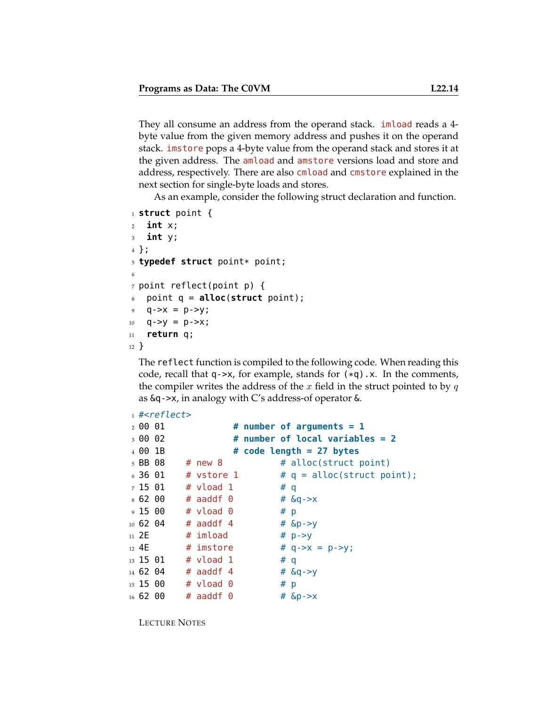They all consume an address from the operand stack. imload reads a 4 byte value from the given memory address and pushes it on the operand stack. imstore pops a 4-byte value from the operand stack and stores it at the given address. The amload and amstore versions load and store and address, respectively. There are also cmload and cmstore explained in the next section for single-byte loads and stores.

As an example, consider the following struct declaration and function.

```
1 struct point {
2 int x;
3 int y;
4 };
5 typedef struct point* point;
6
7 point reflect(point p) {
8 point q = alloc(struct point);
9 \quad q \rightarrow x = p \rightarrow y;10 q - >y = p - >x;11 return q;
12 }
```
The reflect function is compiled to the following code. When reading this code, recall that  $q$ - $\times x$ , for example, stands for  $(*q)$ .  $x$ . In the comments, the compiler writes the address of the  $x$  field in the struct pointed to by  $q$ as &q->x, in analogy with C's address-of operator &.

```
_1 #<reflect>
2 00 01 # number of arguments = 1
3 00 02 # number of local variables = 2
4 00 1B # code length = 27 bytes
5 BB 08 \# new 8 \# alloc(struct point)
6.36 01 # vstore 1 # q = alloc(struct point);
7 15 01 # vload 1 # q
8, 62, 00 # aaddf 0 \# &q->x
9 15 00 # vload 0 # p
10 62 04 # aaddf 4 \# &p->y
11 2E # \text{imload} # \text{p}->y
12 4E # imstore # q->x = p->y;
13 \t15 \t01 \t# vload 1 # q
14 62 04 # aaddf 4 # \&q->y
15 15 00 \# vload 0 \# p
16 62 00 # aaddf 0 # \&p \rightarrow x
```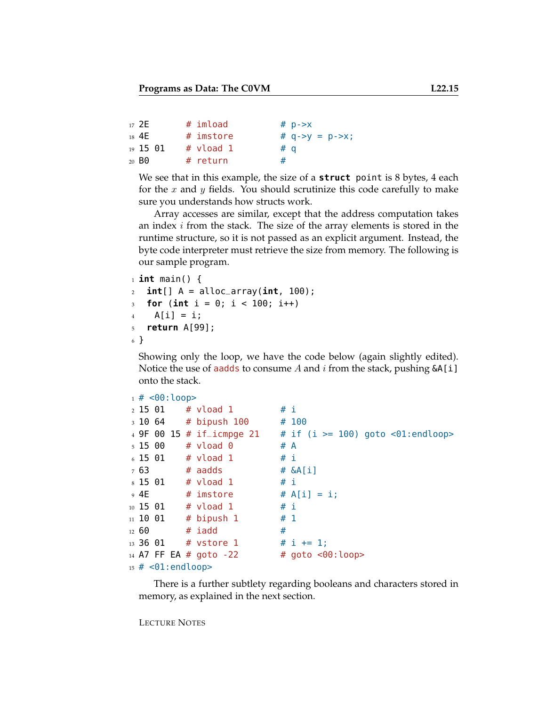```
17 2E \# imload \# p->x
18 4E # imstore # q - >y = p - >x;
19 15 01 # vload 1 # q
20 BO    # return    #
```
We see that in this example, the size of a **struct** point is 8 bytes, 4 each for the x and y fields. You should scrutinize this code carefully to make sure you understands how structs work.

Array accesses are similar, except that the address computation takes an index  $i$  from the stack. The size of the array elements is stored in the runtime structure, so it is not passed as an explicit argument. Instead, the byte code interpreter must retrieve the size from memory. The following is our sample program.

```
1 int main() {
2 int[] A = alloc_array(int, 100);
3 for (int i = 0; i < 100; i++)
4 \qquad A[i] = i;5 return A[99];
6 }
```
Showing only the loop, we have the code below (again slightly edited). Notice the use of aadds to consume A and  $i$  from the stack, pushing  $\&\text{A[i]}$ onto the stack.

```
1 \# <00: loop>
_2 15 01 # vload 1 # i
3 10 64 # bipush 100 # 100
4 9F 00 15 # if_icmpge 21 # if (i >= 100) goto <01:endloop>
5 \t15 \t00 \t# vload 0 \t# A
6 \t15 \t01 # vload 1 # i
7 63 # aadds # \&A[i]8\,15\,01 # vload 1 # i
9 4E # imstore # A[i] = i;
10 \t15 \t01 # vload 1 # i
11 10 01 # bipush 1 \# 112\,60 # iadd #
13 36 01 # vstore 1 # i += 1;
14 A7 FF EA # goto -22 # goto <00:loop>
15 \# <01: endloop>
```
There is a further subtlety regarding booleans and characters stored in memory, as explained in the next section.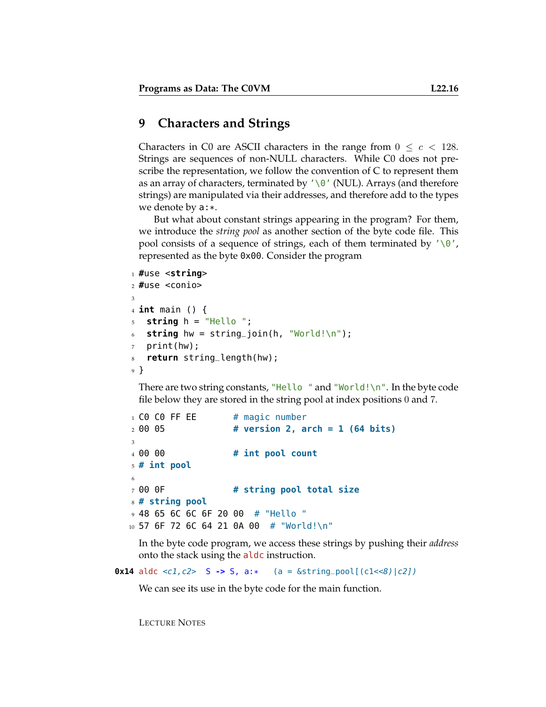# **9 Characters and Strings**

Characters in C0 are ASCII characters in the range from  $0 \leq c < 128$ . Strings are sequences of non-NULL characters. While C0 does not prescribe the representation, we follow the convention of C to represent them as an array of characters, terminated by  $'\0'$  (NUL). Arrays (and therefore strings) are manipulated via their addresses, and therefore add to the types we denote by a:\*.

But what about constant strings appearing in the program? For them, we introduce the *string pool* as another section of the byte code file. This pool consists of a sequence of strings, each of them terminated by  $'\0$ , represented as the byte 0x00. Consider the program

```
1 #use <string>
2 #use <conio>
3
4 int main () {
5 string h = "Hello ";
6 string hw = string_join(h, "World!\n");
  print(hw);
8 return string_length(hw);
9 }
```
There are two string constants, "Hello " and "World!\n". In the byte code file below they are stored in the string pool at index positions 0 and 7.

```
1 CO CO FF EE # magic number
2 00 05 # version 2, arch = 1 (64 bits)
3
4 00 00 # int pool count
5 # int pool
6
7 00 0F # string pool total size
8 # string pool
9 48 65 6C 6C 6F 20 00 # "Hello "
10 57 6F 72 6C 64 21 0A 00 # "World!\n"
```
In the byte code program, we access these strings by pushing their *address* onto the stack using the aldc instruction.

**0x14** aldc <c1,  $c2$ > S  $\rightarrow$  S,  $a$ :\* (a =  $\&$ string\_pool[( $c1$ <8)| $c2$ ])

We can see its use in the byte code for the main function.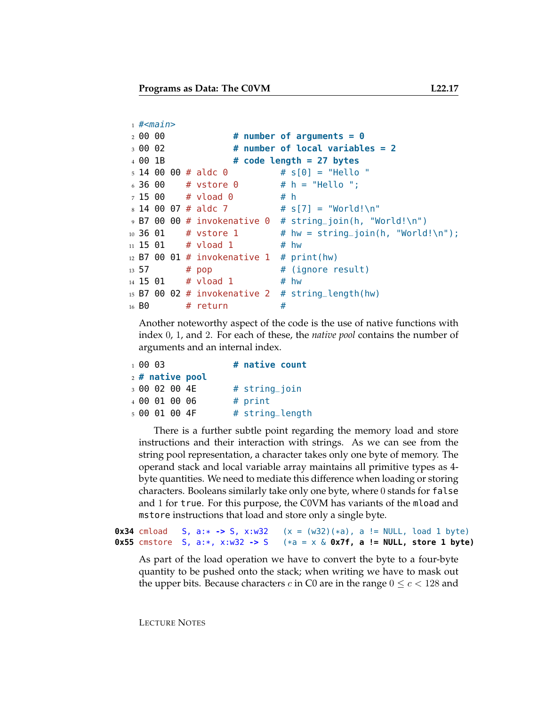```
1 #<main>2 00 00 # number of arguments = 0
3 00 02 # number of local variables = 2
4 00 1B # code length = 27 bytes
5 \t14 \t00 \t00 \t\# \t\n14 \t00 \t0 \# \t5[0] = "Hello "6.3600 # vstore 0 4.6 # h = "Hello ";
7 15 00 # vload 0 # h
8 \t14 \t00 \t07 \t# \t\n14 \t00 \t07 \t\t\t\t\t\t\t 7 \t\t\t\t\t\t 8 \t17 = "World!\n"
9 B7 00 00 # invokenative 0 # string_join(h, "World!\n")
_{10} 36 01 \# vstore 1 \# hw = string_join(h, "World!\n");
11 15 01  # 010ad 1  # 0w12 B7 00 01 # invokenative 1 # print(hw)
13 57 \# pop \# (ignore result)
_{14} 15 01 # vload 1 \# hw
15 B7 00 02 # invokenative 2 # string_length(hw)
16 B0 # return #
```
Another noteworthy aspect of the code is the use of native functions with index 0, 1, and 2. For each of these, the *native pool* contains the number of arguments and an internal index.

| 10003 |               |                   | # native count  |
|-------|---------------|-------------------|-----------------|
|       |               | $2$ # native pool |                 |
|       | 3 00 02 00 4E |                   | # string_join   |
|       | 4 00 01 00 06 |                   | $#$ print       |
|       | 5 00 01 00 4F |                   | # string_length |

There is a further subtle point regarding the memory load and store instructions and their interaction with strings. As we can see from the string pool representation, a character takes only one byte of memory. The operand stack and local variable array maintains all primitive types as 4 byte quantities. We need to mediate this difference when loading or storing characters. Booleans similarly take only one byte, where 0 stands for false and 1 for true. For this purpose, the C0VM has variants of the mload and mstore instructions that load and store only a single byte.

**0x34** cmload S, a:\*  $\rightarrow$  S, x:w32 (x = (w32)(\*a), a != NULL, load 1 byte)<br>**0x55** cmstore S, a:\*, x:w32  $\rightarrow$  S (\*a = x & **0x7f, a != NULL, store 1 byte**)  $(*a = x \& Qx7f, a != NULL, store 1 byte)$ 

As part of the load operation we have to convert the byte to a four-byte quantity to be pushed onto the stack; when writing we have to mask out the upper bits. Because characters c in C0 are in the range  $0 \le c < 128$  and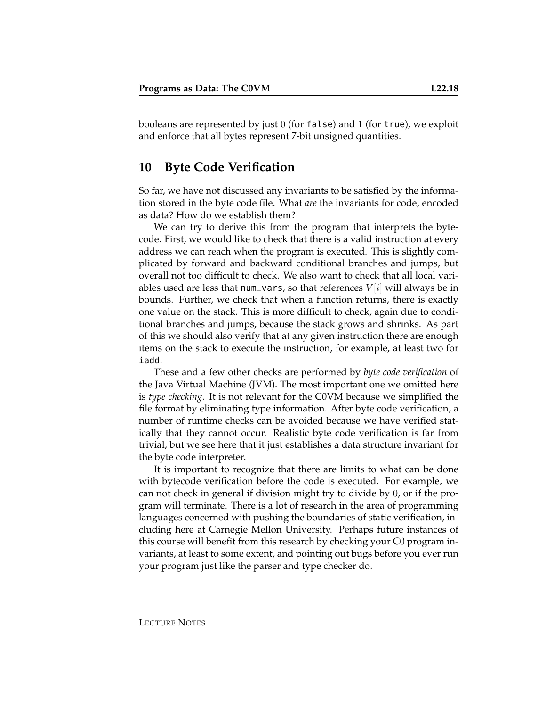booleans are represented by just  $0$  (for false) and  $1$  (for true), we exploit and enforce that all bytes represent 7-bit unsigned quantities.

# **10 Byte Code Verification**

So far, we have not discussed any invariants to be satisfied by the information stored in the byte code file. What *are* the invariants for code, encoded as data? How do we establish them?

We can try to derive this from the program that interprets the bytecode. First, we would like to check that there is a valid instruction at every address we can reach when the program is executed. This is slightly complicated by forward and backward conditional branches and jumps, but overall not too difficult to check. We also want to check that all local variables used are less that num\_vars, so that references  $V[i]$  will always be in bounds. Further, we check that when a function returns, there is exactly one value on the stack. This is more difficult to check, again due to conditional branches and jumps, because the stack grows and shrinks. As part of this we should also verify that at any given instruction there are enough items on the stack to execute the instruction, for example, at least two for iadd.

These and a few other checks are performed by *byte code verification* of the Java Virtual Machine (JVM). The most important one we omitted here is *type checking*. It is not relevant for the C0VM because we simplified the file format by eliminating type information. After byte code verification, a number of runtime checks can be avoided because we have verified statically that they cannot occur. Realistic byte code verification is far from trivial, but we see here that it just establishes a data structure invariant for the byte code interpreter.

It is important to recognize that there are limits to what can be done with bytecode verification before the code is executed. For example, we can not check in general if division might try to divide by 0, or if the program will terminate. There is a lot of research in the area of programming languages concerned with pushing the boundaries of static verification, including here at Carnegie Mellon University. Perhaps future instances of this course will benefit from this research by checking your C0 program invariants, at least to some extent, and pointing out bugs before you ever run your program just like the parser and type checker do.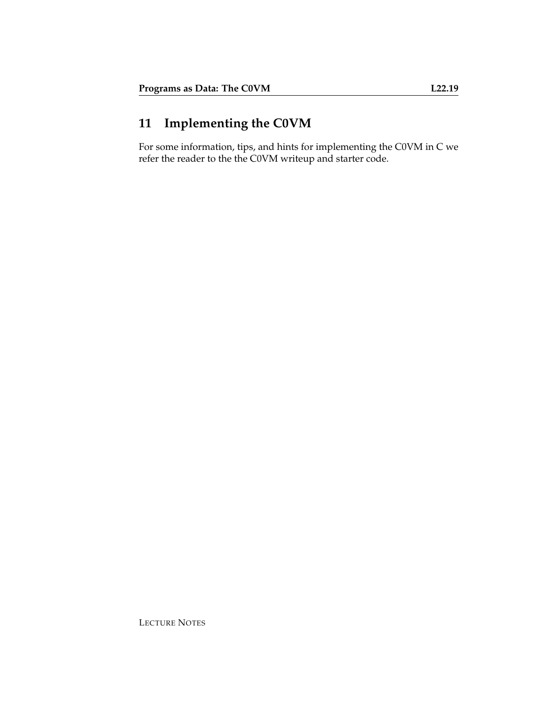# **11 Implementing the C0VM**

For some information, tips, and hints for implementing the C0VM in C we refer the reader to the the C0VM writeup and starter code.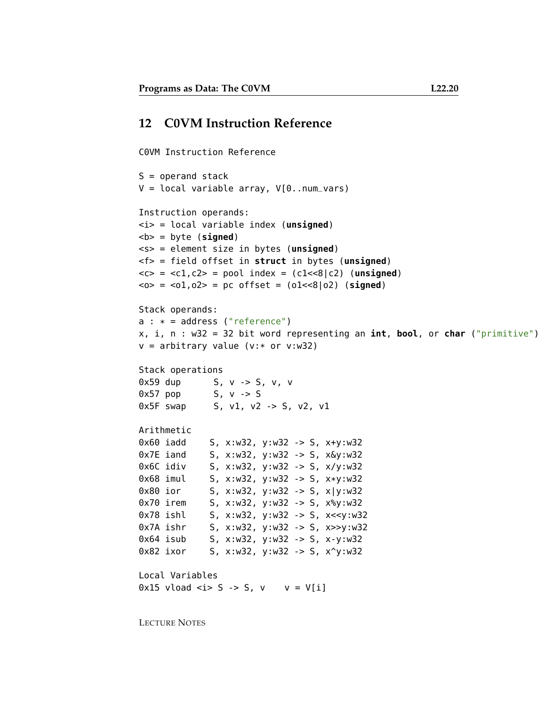# **12 C0VM Instruction Reference**

C0VM Instruction Reference

```
S = operand stack
V = local variable array, V[0..num_vars)
Instruction operands:
<i> = local variable index (unsigned)

<s> = element size in bytes (unsigned)
<f> = field offset in struct in bytes (unsigned)
<<> = <c1, c2> = pool index = (c1<<8|c2) (unsigned)\langle 0 \rangle = \langle 01, 02 \rangle = pc offset = (01 \langle 8 | 02 \rangle) (signed)
Stack operands:
a : * = address ("reference")x, i, n : w32 = 32 bit word representing an int, bool, or char ("primitive")
v = arbitrary value (v:* or v:w32)
Stack operations
0x59 dup S, v -> S, v, v
0x57 pop 5, v -> S
0x5F swap 5, v1, v2 -> 5, v2, v1
Arithmetic
0x60 iadd S, x:w32, y:w32 -> S, x+y:w32
0x7E iand S, x:w32, y:w32 -> S, x&y:w32
0x6C idiv S, x:w32, y:w32 -> S, x/y:w32
0x68 imul S, x:w32, y:w32 -> S, x*y:w32
0x80 ior S, x:w32, y:w32 -> S, x|y:w32
0x70 irem S, x:w32, y:w32 -> S, x%y:w32
0x78 ishl S, x:w32, y:w32 -> S, x<<y:w32
0x7A ishr S, x:w32, y:w32 -> S, x>>y:w32
0x64 isub S, x:w32, y:w32 -> S, x-y:w32
0x82 ixor S, x:w32, y:w32 -> S, x^y:w32
Local Variables
0x15 vload \langle i \rangle S \langle i \rangle S, v \vee v = V[i]
```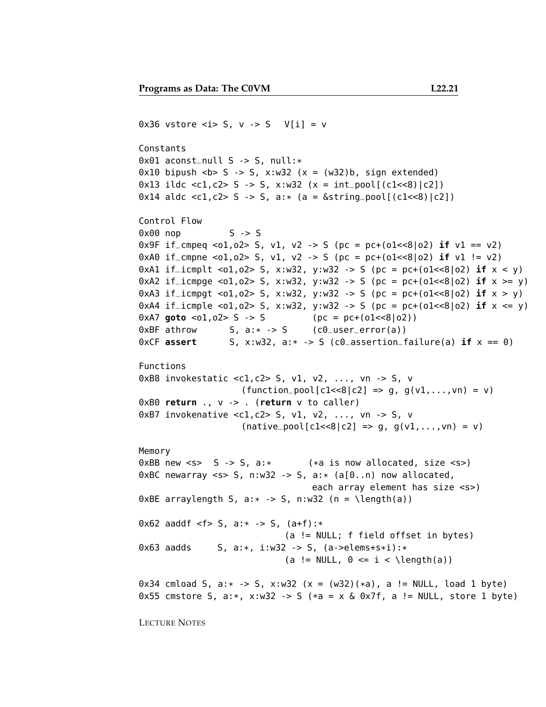```
0x36 vstore \langle i \rangle S, v \langle i \rangle S V[i] = v
Constants
0x01 aconst_null S -> S, null:*
0x10 bipush  -> S, x:w32 (x = (w32)b, sign extended)
0x13 ildc <c1,c2> S -> S, x:w32 (x = int_pool[(c1<<8)|c2])
0x14 aldc <c1, c2> S -> S, a:* (a = \&string_pool[(c1<<8)|c2])
Control Flow
0 \times 00 nop S \rightarrow S0x9F if_cmpeq <o1,o2> S, v1, v2 -> S (pc = pc+(o1<<8|o2) if v1 == v2)
0xA0 if_cmpne <o1,o2> S, v1, v2 -> S (pc = pc+(o1<<8|o2) if v1 != v2)
0xA1 if_icmplt <o1,o2> S, x:w32, y:w32 -> S (pc = pc+(o1<<8|o2) if x < y)
0xA2 if_icmpge <o1,o2> S, x:w32, y:w32 -> S (pc = pc+(o1<<8|o2) if x \ge y)
0xA3 if_icmpgt <o1,o2> S, x:w32, y:w32 -> S (pc = pc+(o1<<8|o2) if x > y)
0xA4 if_icmple <o1,o2> S, x:w32, y:w32 -> S (pc = pc+(o1<<8|o2) if x \le y)
0xA7 goto <01,02> S -> S (pc = pc+(01<8|02))
0xBF athrow S, a: * -> S (c0_user_error(a))
0 \times CF assert S, \times : w32, a:* \rightarrow S (c0_assertion_failure(a) if \times = 0)
Functions
0xB8 invokestatic <c1,c2> S, v1, v2, ..., vn -> S, v
                     (function\_pool[c1<<8|c2] \implies g, g(v1,...,vn) = v)0xB0 return ., v -> . (return v to caller)
0xB7 invokenative <c1,c2> S, v1, v2, ..., vn -> S, v
                     (native\_pool[c1<<8|c2] \implies g, g(v1,...,vn) = v)Memory
0xBB new \langle s \rangle S \langle s \rangle S, a:* \langle * \rangle is now allocated, size \langle s \rangle0xBC newarray <s> S, n:w32 -> S, a:* (a[0..n) now allocated,
                                   each array element has size <s>)
0xBE arraylength S, a:* -> S, n:w32 (n = \length(a))
0x62 aaddf <f> S, a:* -> S, (a+f):*(a != NULL; f field offset in bytes)
0x63 aadds S, a:*, i:w32 -> S, (a->elems+s*i):*
                              (a != NULL, 0 \le i \le \lambda and (1))
0x34 cmload S, a:* \rightarrow S, x:w32 (x = (w32)(*a), a != NULL, load 1 byte)
0x55 cmstore S, a:*, x:w32 -> S (*a = x \& 0x7f, a != NULL, store 1 byte)
```